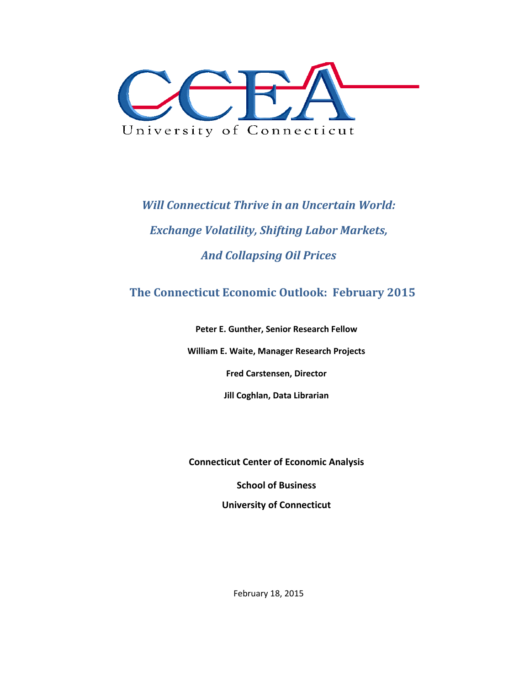

*Will Connecticut Thrive in an Uncertain World: Exchange Volatility, Shifting Labor Markets, And Collapsing Oil Prices* 

# **The Connecticut Economic Outlook: February 2015**

**Peter E. Gunther, Senior Research Fellow**

**William E. Waite, Manager Research Projects**

**Fred Carstensen, Director**

**Jill Coghlan, Data Librarian**

**Connecticut Center of Economic Analysis**

**School of Business**

**University of Connecticut**

February 18, 2015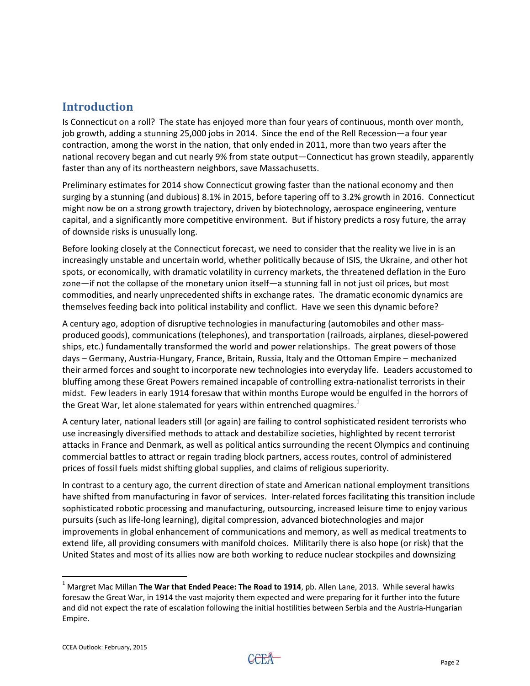## **Introduction**

Is Connecticut on a roll? The state has enjoyed more than four years of continuous, month over month, job growth, adding a stunning 25,000 jobs in 2014. Since the end of the Rell Recession—a four year contraction, among the worst in the nation, that only ended in 2011, more than two years after the national recovery began and cut nearly 9% from state output—Connecticut has grown steadily, apparently faster than any of its northeastern neighbors, save Massachusetts.

Preliminary estimates for 2014 show Connecticut growing faster than the national economy and then surging by a stunning (and dubious) 8.1% in 2015, before tapering off to 3.2% growth in 2016. Connecticut might now be on a strong growth trajectory, driven by biotechnology, aerospace engineering, venture capital, and a significantly more competitive environment. But if history predicts a rosy future, the array of downside risks is unusually long.

Before looking closely at the Connecticut forecast, we need to consider that the reality we live in is an increasingly unstable and uncertain world, whether politically because of ISIS, the Ukraine, and other hot spots, or economically, with dramatic volatility in currency markets, the threatened deflation in the Euro zone—if not the collapse of the monetary union itself—a stunning fall in not just oil prices, but most commodities, and nearly unprecedented shifts in exchange rates. The dramatic economic dynamics are themselves feeding back into political instability and conflict. Have we seen this dynamic before?

A century ago, adoption of disruptive technologies in manufacturing (automobiles and other mass‐ produced goods), communications (telephones), and transportation (railroads, airplanes, diesel‐powered ships, etc.) fundamentally transformed the world and power relationships. The great powers of those days – Germany, Austria‐Hungary, France, Britain, Russia, Italy and the Ottoman Empire – mechanized their armed forces and sought to incorporate new technologies into everyday life. Leaders accustomed to bluffing among these Great Powers remained incapable of controlling extra‐nationalist terrorists in their midst. Few leaders in early 1914 foresaw that within months Europe would be engulfed in the horrors of the Great War, let alone stalemated for years within entrenched quagmires. $<sup>1</sup>$ </sup>

A century later, national leaders still (or again) are failing to control sophisticated resident terrorists who use increasingly diversified methods to attack and destabilize societies, highlighted by recent terrorist attacks in France and Denmark, as well as political antics surrounding the recent Olympics and continuing commercial battles to attract or regain trading block partners, access routes, control of administered prices of fossil fuels midst shifting global supplies, and claims of religious superiority.

In contrast to a century ago, the current direction of state and American national employment transitions have shifted from manufacturing in favor of services. Inter-related forces facilitating this transition include sophisticated robotic processing and manufacturing, outsourcing, increased leisure time to enjoy various pursuits (such as life‐long learning), digital compression, advanced biotechnologies and major improvements in global enhancement of communications and memory, as well as medical treatments to extend life, all providing consumers with manifold choices. Militarily there is also hope (or risk) that the United States and most of its allies now are both working to reduce nuclear stockpiles and downsizing



<sup>1</sup> Margret Mac Millan **The War that Ended Peace: The Road to 1914**, pb. Allen Lane, 2013. While several hawks foresaw the Great War, in 1914 the vast majority them expected and were preparing for it further into the future and did not expect the rate of escalation following the initial hostilities between Serbia and the Austria‐Hungarian Empire.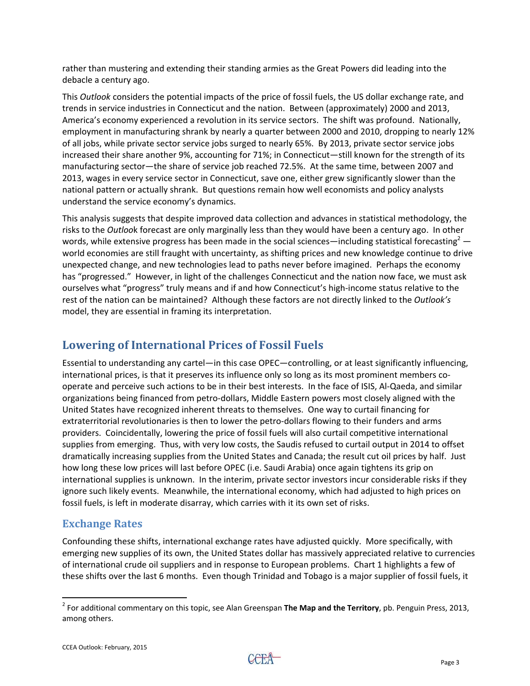rather than mustering and extending their standing armies as the Great Powers did leading into the debacle a century ago.

This *Outlook* considers the potential impacts of the price of fossil fuels, the US dollar exchange rate, and trends in service industries in Connecticut and the nation. Between (approximately) 2000 and 2013, America's economy experienced a revolution in its service sectors. The shift was profound. Nationally, employment in manufacturing shrank by nearly a quarter between 2000 and 2010, dropping to nearly 12% of all jobs, while private sector service jobs surged to nearly 65%. By 2013, private sector service jobs increased their share another 9%, accounting for 71%; in Connecticut—still known for the strength of its manufacturing sector—the share of service job reached 72.5%. At the same time, between 2007 and 2013, wages in every service sector in Connecticut, save one, either grew significantly slower than the national pattern or actually shrank. But questions remain how well economists and policy analysts understand the service economy's dynamics.

This analysis suggests that despite improved data collection and advances in statistical methodology, the risks to the *Outloo*k forecast are only marginally less than they would have been a century ago. In other words, while extensive progress has been made in the social sciences—including statistical forecasting<sup>2</sup> world economies are still fraught with uncertainty, as shifting prices and new knowledge continue to drive unexpected change, and new technologies lead to paths never before imagined. Perhaps the economy has "progressed." However, in light of the challenges Connecticut and the nation now face, we must ask ourselves what "progress" truly means and if and how Connecticut's high‐income status relative to the rest of the nation can be maintained? Although these factors are not directly linked to the *Outlook's* model, they are essential in framing its interpretation.

## **Lowering of International Prices of Fossil Fuels**

Essential to understanding any cartel—in this case OPEC—controlling, or at least significantly influencing, international prices, is that it preserves its influence only so long as its most prominent members co‐ operate and perceive such actions to be in their best interests. In the face of ISIS, Al‐Qaeda, and similar organizations being financed from petro‐dollars, Middle Eastern powers most closely aligned with the United States have recognized inherent threats to themselves. One way to curtail financing for extraterritorial revolutionaries is then to lower the petro-dollars flowing to their funders and arms providers. Coincidentally, lowering the price of fossil fuels will also curtail competitive international supplies from emerging. Thus, with very low costs, the Saudis refused to curtail output in 2014 to offset dramatically increasing supplies from the United States and Canada; the result cut oil prices by half. Just how long these low prices will last before OPEC (i.e. Saudi Arabia) once again tightens its grip on international supplies is unknown. In the interim, private sector investors incur considerable risks if they ignore such likely events. Meanwhile, the international economy, which had adjusted to high prices on fossil fuels, is left in moderate disarray, which carries with it its own set of risks.

#### **Exchange Rates**

Confounding these shifts, international exchange rates have adjusted quickly. More specifically, with emerging new supplies of its own, the United States dollar has massively appreciated relative to currencies of international crude oil suppliers and in response to European problems. Chart 1 highlights a few of these shifts over the last 6 months. Even though Trinidad and Tobago is a major supplier of fossil fuels, it

 <sup>2</sup> For additional commentary on this topic, see Alan Greenspan **The Map and the Territory**, pb. Penguin Press, 2013, among others.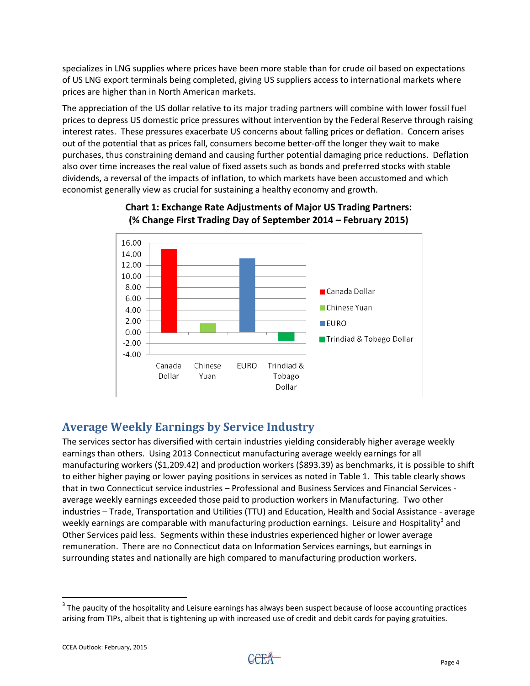specializes in LNG supplies where prices have been more stable than for crude oil based on expectations of US LNG export terminals being completed, giving US suppliers access to international markets where prices are higher than in North American markets.

The appreciation of the US dollar relative to its major trading partners will combine with lower fossil fuel prices to depress US domestic price pressures without intervention by the Federal Reserve through raising interest rates. These pressures exacerbate US concerns about falling prices or deflation. Concern arises out of the potential that as prices fall, consumers become better‐off the longer they wait to make purchases, thus constraining demand and causing further potential damaging price reductions. Deflation also over time increases the real value of fixed assets such as bonds and preferred stocks with stable dividends, a reversal of the impacts of inflation, to which markets have been accustomed and which economist generally view as crucial for sustaining a healthy economy and growth.



#### **Chart 1: Exchange Rate Adjustments of Major US Trading Partners: (% Change First Trading Day of September 2014 – February 2015)**

# **Average Weekly Earnings by Service Industry**

The services sector has diversified with certain industries yielding considerably higher average weekly earnings than others. Using 2013 Connecticut manufacturing average weekly earnings for all manufacturing workers (\$1,209.42) and production workers (\$893.39) as benchmarks, it is possible to shift to either higher paying or lower paying positions in services as noted in Table 1. This table clearly shows that in two Connecticut service industries – Professional and Business Services and Financial Services ‐ average weekly earnings exceeded those paid to production workers in Manufacturing. Two other industries – Trade, Transportation and Utilities (TTU) and Education, Health and Social Assistance ‐ average weekly earnings are comparable with manufacturing production earnings. Leisure and Hospitality<sup>3</sup> and Other Services paid less. Segments within these industries experienced higher or lower average remuneration. There are no Connecticut data on Information Services earnings, but earnings in surrounding states and nationally are high compared to manufacturing production workers.

  $3$  The paucity of the hospitality and Leisure earnings has always been suspect because of loose accounting practices arising from TIPs, albeit that is tightening up with increased use of credit and debit cards for paying gratuities.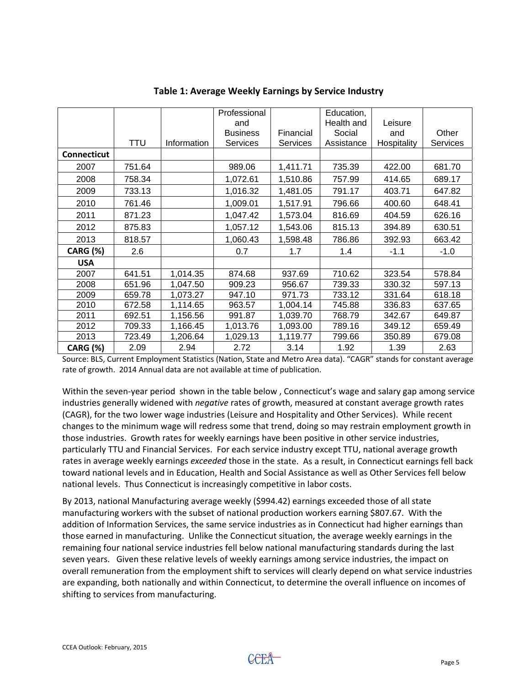|                    | <b>TTU</b> | Information | Professional<br>and<br><b>Business</b><br>Financial<br><b>Services</b><br><b>Services</b> |                    | Education,<br>Health and<br>Social<br>Assistance | Leisure<br>and<br>Hospitality | Other<br><b>Services</b> |
|--------------------|------------|-------------|-------------------------------------------------------------------------------------------|--------------------|--------------------------------------------------|-------------------------------|--------------------------|
| <b>Connecticut</b> |            |             |                                                                                           |                    |                                                  |                               |                          |
| 2007               | 751.64     |             | 989.06                                                                                    | 1,411.71           | 735.39                                           | 422.00                        | 681.70                   |
| 2008               | 758.34     |             | 1,072.61                                                                                  | 1,510.86           | 757.99                                           | 414.65                        | 689.17                   |
| 2009               | 733.13     |             | 1,016.32                                                                                  | 1,481.05           | 791.17                                           | 403.71                        | 647.82                   |
| 2010               | 761.46     |             | 1,009.01                                                                                  | 1,517.91<br>796.66 |                                                  | 400.60                        | 648.41                   |
| 2011               | 871.23     |             | 1,047.42                                                                                  | 1,573.04           | 816.69                                           | 404.59                        | 626.16                   |
| 2012               | 875.83     |             | 1,057.12                                                                                  | 1,543.06           | 815.13                                           | 394.89                        | 630.51                   |
| 2013               | 818.57     |             | 1,060.43                                                                                  | 1,598.48           | 786.86                                           | 392.93                        | 663.42                   |
| <b>CARG (%)</b>    | 2.6        |             | 0.7                                                                                       | 1.7                | 1.4                                              | $-1.1$                        | $-1.0$                   |
| <b>USA</b>         |            |             |                                                                                           |                    |                                                  |                               |                          |
| 2007               | 641.51     | 1,014.35    | 874.68                                                                                    | 937.69             | 710.62                                           | 323.54                        | 578.84                   |
| 2008               | 651.96     | 1,047.50    | 909.23                                                                                    | 956.67             | 739.33                                           | 330.32                        | 597.13                   |
| 2009               | 659.78     | 1,073.27    | 947.10                                                                                    | 971.73             | 733.12                                           | 331.64                        | 618.18                   |
| 2010               | 672.58     | 1,114.65    | 963.57                                                                                    | 1,004.14           | 745.88                                           | 336.83                        | 637.65                   |
| 2011               | 692.51     | 1,156.56    | 991.87                                                                                    | 1,039.70           | 768.79                                           | 342.67                        | 649.87                   |
| 2012               | 709.33     | 1,166.45    | 1,013.76                                                                                  | 1,093.00           | 789.16                                           | 349.12                        | 659.49                   |
| 2013               | 723.49     | 1,206.64    | 1,029.13                                                                                  | 1,119.77           | 799.66                                           | 350.89                        | 679.08                   |
| <b>CARG (%)</b>    | 2.09       | 2.94        | 2.72                                                                                      | 3.14               | 1.92                                             | 1.39                          | 2.63                     |

#### **Table 1: Average Weekly Earnings by Service Industry**

Source: BLS, Current Employment Statistics (Nation, State and Metro Area data). "CAGR" stands for constant average rate of growth. 2014 Annual data are not available at time of publication.

Within the seven-year period shown in the table below, Connecticut's wage and salary gap among service industries generally widened with *negative* rates of growth, measured at constant average growth rates (CAGR), for the two lower wage industries (Leisure and Hospitality and Other Services). While recent changes to the minimum wage will redress some that trend, doing so may restrain employment growth in those industries. Growth rates for weekly earnings have been positive in other service industries, particularly TTU and Financial Services. For each service industry except TTU, national average growth rates in average weekly earnings *exceeded* those in the state. As a result, in Connecticut earnings fell back toward national levels and in Education, Health and Social Assistance as well as Other Services fell below national levels. Thus Connecticut is increasingly competitive in labor costs.

By 2013, national Manufacturing average weekly (\$994.42) earnings exceeded those of all state manufacturing workers with the subset of national production workers earning \$807.67. With the addition of Information Services, the same service industries as in Connecticut had higher earnings than those earned in manufacturing. Unlike the Connecticut situation, the average weekly earnings in the remaining four national service industries fell below national manufacturing standards during the last seven years. Given these relative levels of weekly earnings among service industries, the impact on overall remuneration from the employment shift to services will clearly depend on what service industries are expanding, both nationally and within Connecticut, to determine the overall influence on incomes of shifting to services from manufacturing.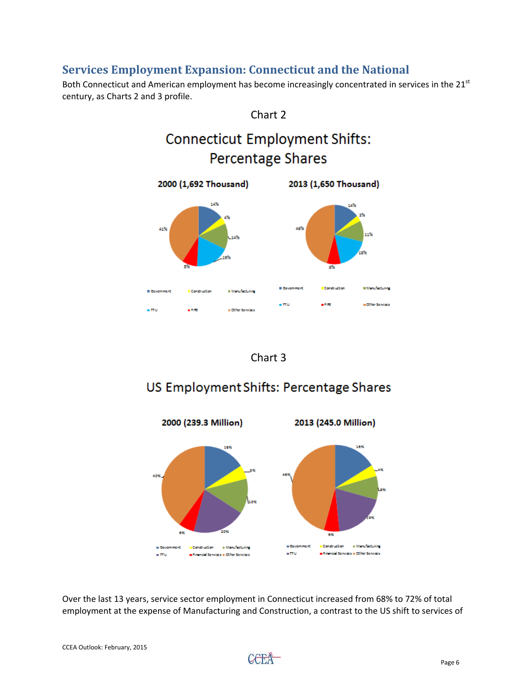### **Services Employment Expansion: Connecticut and the National**

Both Connecticut and American employment has become increasingly concentrated in services in the 21<sup>st</sup> century, as Charts 2 and 3 profile.





# US Employment Shifts: Percentage Shares



Over the last 13 years, service sector employment in Connecticut increased from 68% to 72% of total employment at the expense of Manufacturing and Construction, a contrast to the US shift to services of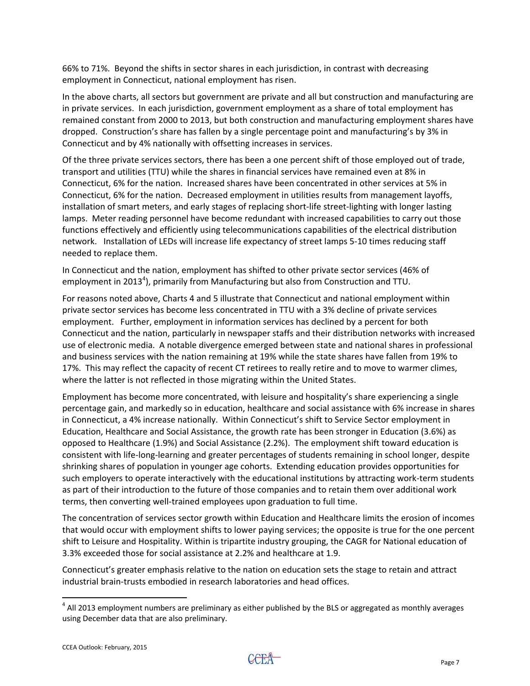66% to 71%. Beyond the shifts in sector shares in each jurisdiction, in contrast with decreasing employment in Connecticut, national employment has risen.

In the above charts, all sectors but government are private and all but construction and manufacturing are in private services. In each jurisdiction, government employment as a share of total employment has remained constant from 2000 to 2013, but both construction and manufacturing employment shares have dropped. Construction's share has fallen by a single percentage point and manufacturing's by 3% in Connecticut and by 4% nationally with offsetting increases in services.

Of the three private services sectors, there has been a one percent shift of those employed out of trade, transport and utilities (TTU) while the shares in financial services have remained even at 8% in Connecticut, 6% for the nation. Increased shares have been concentrated in other services at 5% in Connecticut, 6% for the nation. Decreased employment in utilities results from management layoffs, installation of smart meters, and early stages of replacing short‐life street‐lighting with longer lasting lamps. Meter reading personnel have become redundant with increased capabilities to carry out those functions effectively and efficiently using telecommunications capabilities of the electrical distribution network. Installation of LEDs will increase life expectancy of street lamps 5‐10 times reducing staff needed to replace them.

In Connecticut and the nation, employment has shifted to other private sector services (46% of employment in 2013<sup>4</sup>), primarily from Manufacturing but also from Construction and TTU.

For reasons noted above, Charts 4 and 5 illustrate that Connecticut and national employment within private sector services has become less concentrated in TTU with a 3% decline of private services employment. Further, employment in information services has declined by a percent for both Connecticut and the nation, particularly in newspaper staffs and their distribution networks with increased use of electronic media. A notable divergence emerged between state and national shares in professional and business services with the nation remaining at 19% while the state shares have fallen from 19% to 17%. This may reflect the capacity of recent CT retirees to really retire and to move to warmer climes, where the latter is not reflected in those migrating within the United States.

Employment has become more concentrated, with leisure and hospitality's share experiencing a single percentage gain, and markedly so in education, healthcare and social assistance with 6% increase in shares in Connecticut, a 4% increase nationally. Within Connecticut's shift to Service Sector employment in Education, Healthcare and Social Assistance, the growth rate has been stronger in Education (3.6%) as opposed to Healthcare (1.9%) and Social Assistance (2.2%). The employment shift toward education is consistent with life‐long‐learning and greater percentages of students remaining in school longer, despite shrinking shares of population in younger age cohorts. Extending education provides opportunities for such employers to operate interactively with the educational institutions by attracting work‐term students as part of their introduction to the future of those companies and to retain them over additional work terms, then converting well‐trained employees upon graduation to full time.

The concentration of services sector growth within Education and Healthcare limits the erosion of incomes that would occur with employment shifts to lower paying services; the opposite is true for the one percent shift to Leisure and Hospitality. Within is tripartite industry grouping, the CAGR for National education of 3.3% exceeded those for social assistance at 2.2% and healthcare at 1.9.

Connecticut's greater emphasis relative to the nation on education sets the stage to retain and attract industrial brain‐trusts embodied in research laboratories and head offices.

 $4$  All 2013 employment numbers are preliminary as either published by the BLS or aggregated as monthly averages using December data that are also preliminary.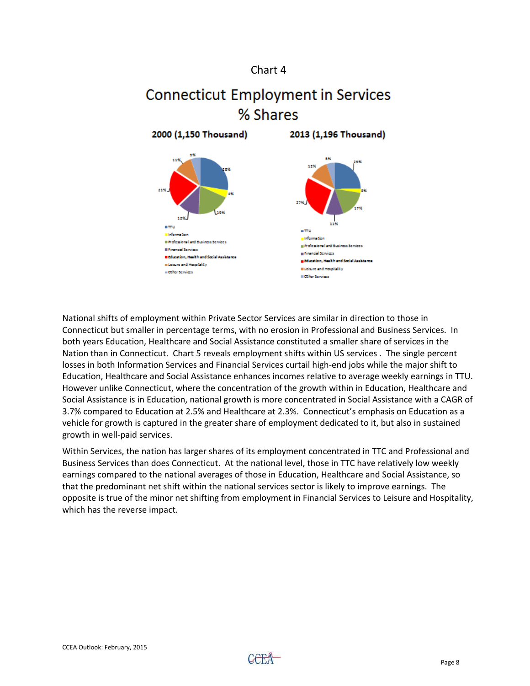#### Chart 4

# **Connecticut Employment in Services** % Shares

2000 (1.150 Thousand) 2013 (1.196 Thousand)  $\blacksquare$  $-$  77  $\mu$ an Gun a Information Il Professional and Business Services Referient and Stainers Services **Il Financial Scivices** a Kennetil Services **II Education, Hask hand Social Assistance** ,<br>Education, Health and Social Assistance a Leisure and Hereitality **Eldsure and Hespitality** = Other Services II Other Services

National shifts of employment within Private Sector Services are similar in direction to those in Connecticut but smaller in percentage terms, with no erosion in Professional and Business Services. In both years Education, Healthcare and Social Assistance constituted a smaller share of services in the Nation than in Connecticut. Chart 5 reveals employment shifts within US services . The single percent losses in both Information Services and Financial Services curtail high‐end jobs while the major shift to Education, Healthcare and Social Assistance enhances incomes relative to average weekly earnings in TTU. However unlike Connecticut, where the concentration of the growth within in Education, Healthcare and Social Assistance is in Education, national growth is more concentrated in Social Assistance with a CAGR of 3.7% compared to Education at 2.5% and Healthcare at 2.3%. Connecticut's emphasis on Education as a vehicle for growth is captured in the greater share of employment dedicated to it, but also in sustained growth in well‐paid services.

Within Services, the nation has larger shares of its employment concentrated in TTC and Professional and Business Services than does Connecticut. At the national level, those in TTC have relatively low weekly earnings compared to the national averages of those in Education, Healthcare and Social Assistance, so that the predominant net shift within the national services sector is likely to improve earnings. The opposite is true of the minor net shifting from employment in Financial Services to Leisure and Hospitality, which has the reverse impact.

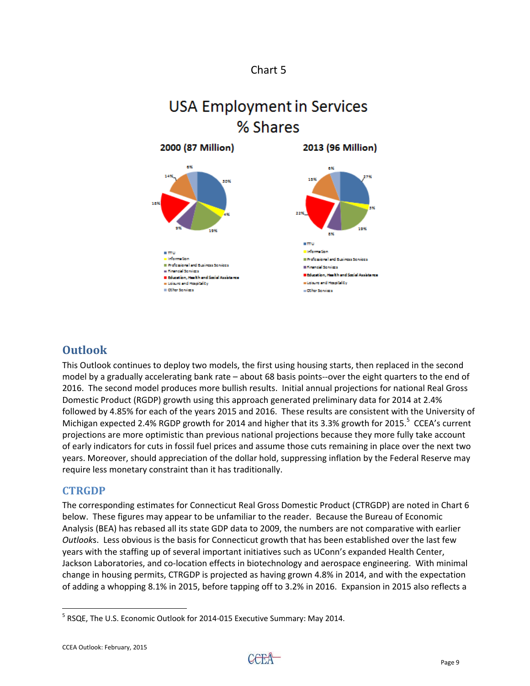

# **USA Employment in Services** % Shares



# **Outlook**

This Outlook continues to deploy two models, the first using housing starts, then replaced in the second model by a gradually accelerating bank rate – about 68 basis points--over the eight quarters to the end of 2016. The second model produces more bullish results. Initial annual projections for national Real Gross Domestic Product (RGDP) growth using this approach generated preliminary data for 2014 at 2.4% followed by 4.85% for each of the years 2015 and 2016. These results are consistent with the University of Michigan expected 2.4% RGDP growth for 2014 and higher that its 3.3% growth for 2015.<sup>5</sup> CCEA's current projections are more optimistic than previous national projections because they more fully take account of early indicators for cuts in fossil fuel prices and assume those cuts remaining in place over the next two years. Moreover, should appreciation of the dollar hold, suppressing inflation by the Federal Reserve may require less monetary constraint than it has traditionally.

#### **CTRGDP**

The corresponding estimates for Connecticut Real Gross Domestic Product (CTRGDP) are noted in Chart 6 below. These figures may appear to be unfamiliar to the reader. Because the Bureau of Economic Analysis (BEA) has rebased all its state GDP data to 2009, the numbers are not comparative with earlier *Outlook*s. Less obvious is the basis for Connecticut growth that has been established over the last few years with the staffing up of several important initiatives such as UConn's expanded Health Center, Jackson Laboratories, and co‐location effects in biotechnology and aerospace engineering. With minimal change in housing permits, CTRGDP is projected as having grown 4.8% in 2014, and with the expectation of adding a whopping 8.1% in 2015, before tapping off to 3.2% in 2016. Expansion in 2015 also reflects a

<sup>&</sup>lt;sup>5</sup> RSQE, The U.S. Economic Outlook for 2014-015 Executive Summary: May 2014.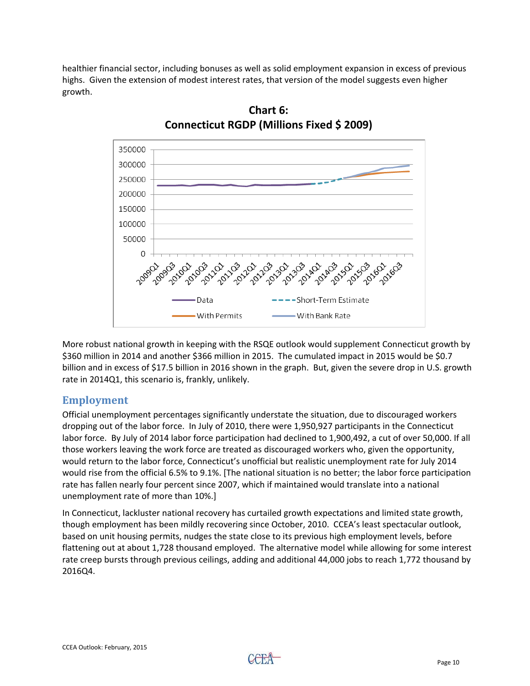healthier financial sector, including bonuses as well as solid employment expansion in excess of previous highs. Given the extension of modest interest rates, that version of the model suggests even higher growth.



**Chart 6: Connecticut RGDP (Millions Fixed \$ 2009)**

More robust national growth in keeping with the RSQE outlook would supplement Connecticut growth by \$360 million in 2014 and another \$366 million in 2015. The cumulated impact in 2015 would be \$0.7 billion and in excess of \$17.5 billion in 2016 shown in the graph. But, given the severe drop in U.S. growth rate in 2014Q1, this scenario is, frankly, unlikely.

#### **Employment**

Official unemployment percentages significantly understate the situation, due to discouraged workers dropping out of the labor force. In July of 2010, there were 1,950,927 participants in the Connecticut labor force. By July of 2014 labor force participation had declined to 1,900,492, a cut of over 50,000. If all those workers leaving the work force are treated as discouraged workers who, given the opportunity, would return to the labor force, Connecticut's unofficial but realistic unemployment rate for July 2014 would rise from the official 6.5% to 9.1%. [The national situation is no better; the labor force participation rate has fallen nearly four percent since 2007, which if maintained would translate into a national unemployment rate of more than 10%.]

In Connecticut, lackluster national recovery has curtailed growth expectations and limited state growth, though employment has been mildly recovering since October, 2010. CCEA's least spectacular outlook, based on unit housing permits, nudges the state close to its previous high employment levels, before flattening out at about 1,728 thousand employed. The alternative model while allowing for some interest rate creep bursts through previous ceilings, adding and additional 44,000 jobs to reach 1,772 thousand by 2016Q4.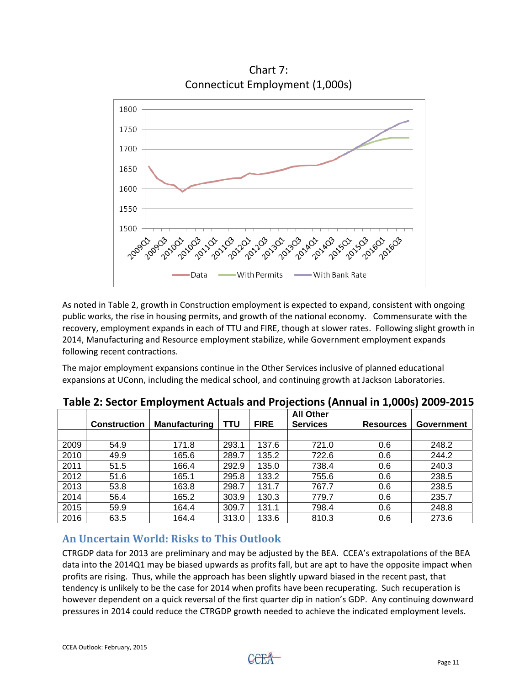

Chart 7: Connecticut Employment (1,000s)

As noted in Table 2, growth in Construction employment is expected to expand, consistent with ongoing public works, the rise in housing permits, and growth of the national economy. Commensurate with the recovery, employment expands in each of TTU and FIRE, though at slower rates. Following slight growth in 2014, Manufacturing and Resource employment stabilize, while Government employment expands following recent contractions.

The major employment expansions continue in the Other Services inclusive of planned educational expansions at UConn, including the medical school, and continuing growth at Jackson Laboratories.

|      | <b>Construction</b> | <b>Manufacturing</b> | TTU   | <b>FIRE</b> | <b>All Other</b><br><b>Services</b> | <b>Resources</b> | Government |
|------|---------------------|----------------------|-------|-------------|-------------------------------------|------------------|------------|
|      |                     |                      |       |             |                                     |                  |            |
| 2009 | 54.9                | 171.8                | 293.1 | 137.6       | 721.0                               | 0.6              | 248.2      |
| 2010 | 49.9                | 165.6                | 289.7 | 135.2       | 722.6                               | 0.6              | 244.2      |
| 2011 | 51.5                | 166.4                | 292.9 | 135.0       | 738.4                               | 0.6              | 240.3      |
| 2012 | 51.6                | 165.1                | 295.8 | 133.2       | 755.6                               | 0.6              | 238.5      |
| 2013 | 53.8                | 163.8                | 298.7 | 131.7       | 767.7                               | 0.6              | 238.5      |
| 2014 | 56.4                | 165.2                | 303.9 | 130.3       | 779.7                               | 0.6              | 235.7      |
| 2015 | 59.9                | 164.4                | 309.7 | 131.1       | 798.4                               | 0.6              | 248.8      |
| 2016 | 63.5                | 164.4                | 313.0 | 133.6       | 810.3                               | 0.6              | 273.6      |

**Table 2: Sector Employment Actuals and Projections (Annual in 1,000s) 2009‐2015**

#### **An Uncertain World: Risks to This Outlook**

CTRGDP data for 2013 are preliminary and may be adjusted by the BEA. CCEA's extrapolations of the BEA data into the 2014Q1 may be biased upwards as profits fall, but are apt to have the opposite impact when profits are rising. Thus, while the approach has been slightly upward biased in the recent past, that tendency is unlikely to be the case for 2014 when profits have been recuperating. Such recuperation is however dependent on a quick reversal of the first quarter dip in nation's GDP. Any continuing downward pressures in 2014 could reduce the CTRGDP growth needed to achieve the indicated employment levels.